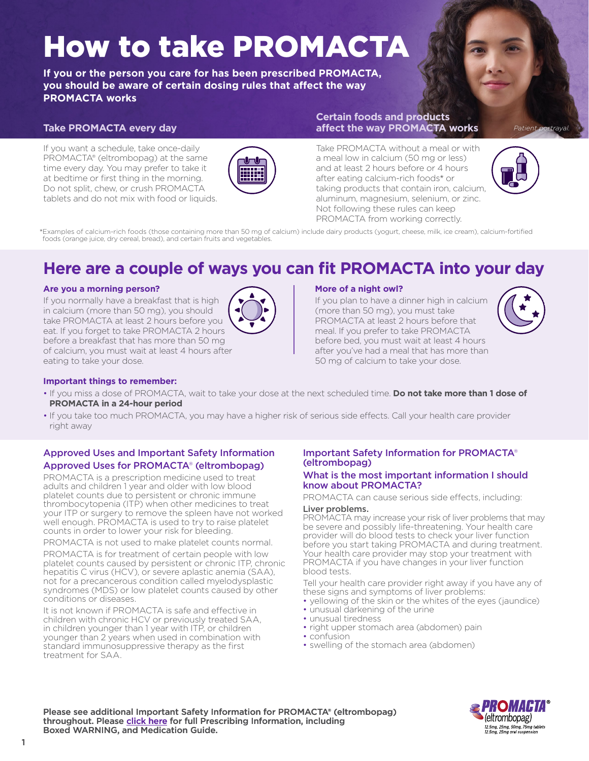# How to take PROMACTA

**If you or the person you care for has been prescribed PROMACTA, you should be aware of certain dosing rules that affect the way PROMACTA works**

## **Take PROMACTA every day**

If you want a schedule, take once-daily PROMACTA® (eltrombopag) at the same time every day. You may prefer to take it at bedtime or first thing in the morning. Do not split, chew, or crush PROMACTA tablets and do not mix with food or liquids.



## **Certain foods and products affect the way PROMACTA works**

Take PROMACTA without a meal or with a meal low in calcium (50 mg or less) and at least 2 hours before or 4 hours after eating calcium-rich foods\* or taking products that contain iron, calcium, aluminum, magnesium, selenium, or zinc. Not following these rules can keep PROMACTA from working correctly.



*Patient portrayal.*

\*Examples of calcium-rich foods (those containing more than 50 mg of calcium) include dairy products (yogurt, cheese, milk, ice cream), calcium-fortified foods (orange juice, dry cereal, bread), and certain fruits and vegetables.

## **Here are a couple of ways you can fit PROMACTA into your day**

## **Are you a morning person?**

If you normally have a breakfast that is high in calcium (more than 50 mg), you should take PROMACTA at least 2 hours before you eat. If you forget to take PROMACTA 2 hours before a breakfast that has more than 50 mg of calcium, you must wait at least 4 hours after eating to take your dose.



## **More of a night owl?**

If you plan to have a dinner high in calcium (more than 50 mg), you must take PROMACTA at least 2 hours before that meal. If you prefer to take PROMACTA before bed, you must wait at least 4 hours after you've had a meal that has more than 50 mg of calcium to take your dose.



## **Important things to remember:**

- If you miss a dose of PROMACTA, wait to take your dose at the next scheduled time. **Do not take more than 1 dose of PROMACTA in a 24-hour period**
- If you take too much PROMACTA, you may have a higher risk of serious side effects. Call your health care provider right away

## Approved Uses and Important Safety Information Approved Uses for PROMACTA® (eltrombopag)

PROMACTA is a prescription medicine used to treat adults and children 1 year and older with low blood platelet counts due to persistent or chronic immune thrombocytopenia (ITP) when other medicines to treat your ITP or surgery to remove the spleen have not worked well enough. PROMACTA is used to try to raise platelet counts in order to lower your risk for bleeding.

PROMACTA is not used to make platelet counts normal.

PROMACTA is for treatment of certain people with low platelet counts caused by persistent or chronic ITP, chronic hepatitis C virus (HCV), or severe aplastic anemia (SAA), not for a precancerous condition called myelodysplastic syndromes (MDS) or low platelet counts caused by other conditions or diseases.

It is not known if PROMACTA is safe and effective in children with chronic HCV or previously treated SAA, in children younger than 1 year with ITP, or children younger than 2 years when used in combination with standard immunosuppressive therapy as the first treatment for SAA.

## Important Safety Information for PROMACTA® (eltrombopag)

## What is the most important information I should know about PROMACTA?

PROMACTA can cause serious side effects, including:

## Liver problems.

PROMACTA may increase your risk of liver problems that may be severe and possibly life-threatening. Your health care provider will do blood tests to check your liver function before you start taking PROMACTA and during treatment. Your health care provider may stop your treatment with PROMACTA if you have changes in your liver function blood tests.

Tell your health care provider right away if you have any of these signs and symptoms of liver problems:

- yellowing of the skin or the whites of the eyes (jaundice)
- unusual darkening of the urine
- unusual tiredness
- right upper stomach area (abdomen) pain
- confusion
- swelling of the stomach area (abdomen)

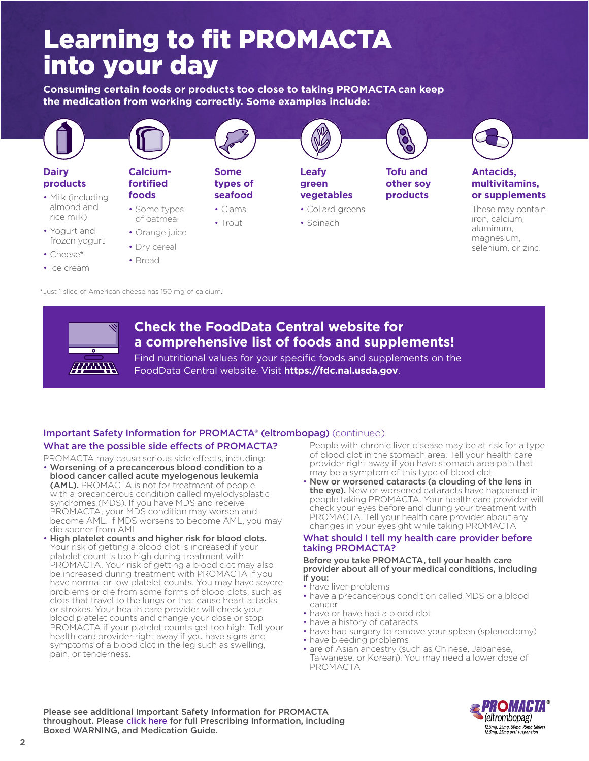## Learning to fit PROMACTA into your day

**Consuming certain foods or products too close to taking PROMACTA can keep the medication from working correctly. Some examples include:**



\*Just 1 slice of American cheese has 150 mg of calcium.



## **Check the FoodData Central website for a comprehensive list of foods and supplements!**

Find nutritional values for your specific foods and supplements on the FoodData Central website. Visit **[https://fdc.nal.usda.gov](https://fdc.nal.usda.gov/)**.

## What are the possible side effects of PROMACTA? Important Safety Information for PROMACTA® (eltrombopag) (continued)

PROMACTA may cause serious side effects, including:

- Worsening of a precancerous blood condition to a blood cancer called acute myelogenous leukemia (AML). PROMACTA is not for treatment of people with a precancerous condition called myelodysplastic syndromes (MDS). If you have MDS and receive PROMACTA, your MDS condition may worsen and become AML. If MDS worsens to become AML, you may die sooner from AML
- High platelet counts and higher risk for blood clots. Your risk of getting a blood clot is increased if your platelet count is too high during treatment with PROMACTA. Your risk of getting a blood clot may also be increased during treatment with PROMACTA if you have normal or low platelet counts. You may have severe problems or die from some forms of blood clots, such as clots that travel to the lungs or that cause heart attacks or strokes. Your health care provider will check your blood platelet counts and change your dose or stop PROMACTA if your platelet counts get too high. Tell your health care provider right away if you have signs and symptoms of a blood clot in the leg such as swelling, pain, or tenderness.

 People with chronic liver disease may be at risk for a type of blood clot in the stomach area. Tell your health care provider right away if you have stomach area pain that may be a symptom of this type of blood clot

• New or worsened cataracts (a clouding of the lens in the eye). New or worsened cataracts have happened in people taking PROMACTA. Your health care provider will check your eyes before and during your treatment with PROMACTA. Tell your health care provider about any changes in your eyesight while taking PROMACTA

## What should I tell my health care provider before taking PROMACTA?

## Before you take PROMACTA, tell your health care provider about all of your medical conditions, including if you:

- have liver problems
- have a precancerous condition called MDS or a blood cancer
- have or have had a blood clot
- have a history of cataracts
- have had surgery to remove your spleen (splenectomy)
- have bleeding problems
- are of Asian ancestry (such as Chinese, Japanese, Taiwanese, or Korean). You may need a lower dose of PROMACTA

чкомини (eltrombopag) 12.5mg, 25mg, 50mg, 75mg tablets<br>12.5mg, 25mg oral suspension

Please see additional Important Safety Information for PROMACTA throughout. Please [click here](https://www.novartis.us/sites/www.novartis.us/files/promacta.pdf) for full Prescribing Information, including Boxed WARNING, and Medication Guide.